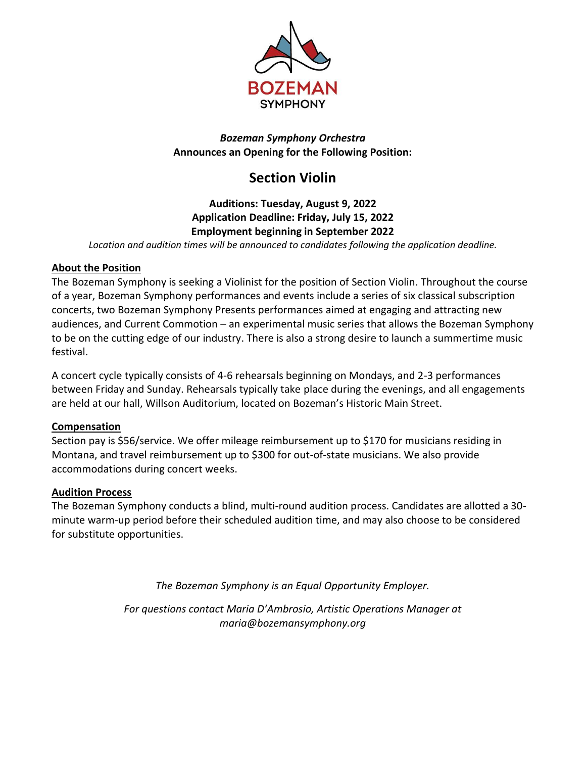

#### *Bozeman Symphony Orchestra* **Announces an Opening for the Following Position:**

# **Section Violin**

## **Auditions: Tuesday, August 9, 2022 Application Deadline: Friday, July 15, 2022 Employment beginning in September 2022**

*Location and audition times will be announced to candidates following the application deadline.*

#### **About the Position**

The Bozeman Symphony is seeking a Violinist for the position of Section Violin. Throughout the course of a year, Bozeman Symphony performances and events include a series of six classical subscription concerts, two Bozeman Symphony Presents performances aimed at engaging and attracting new audiences, and Current Commotion – an experimental music series that allows the Bozeman Symphony to be on the cutting edge of our industry. There is also a strong desire to launch a summertime music festival.

A concert cycle typically consists of 4-6 rehearsals beginning on Mondays, and 2-3 performances between Friday and Sunday. Rehearsals typically take place during the evenings, and all engagements are held at our hall, Willson Auditorium, located on Bozeman's Historic Main Street.

#### **Compensation**

Section pay is \$56/service. We offer mileage reimbursement up to \$170 for musicians residing in Montana, and travel reimbursement up to \$300 for out-of-state musicians. We also provide accommodations during concert weeks.

### **Audition Process**

The Bozeman Symphony conducts a blind, multi-round audition process. Candidates are allotted a 30 minute warm-up period before their scheduled audition time, and may also choose to be considered for substitute opportunities.

*The Bozeman Symphony is an Equal Opportunity Employer.*

*For questions contact Maria D'Ambrosio, Artistic Operations Manager at maria@bozemansymphony.org*